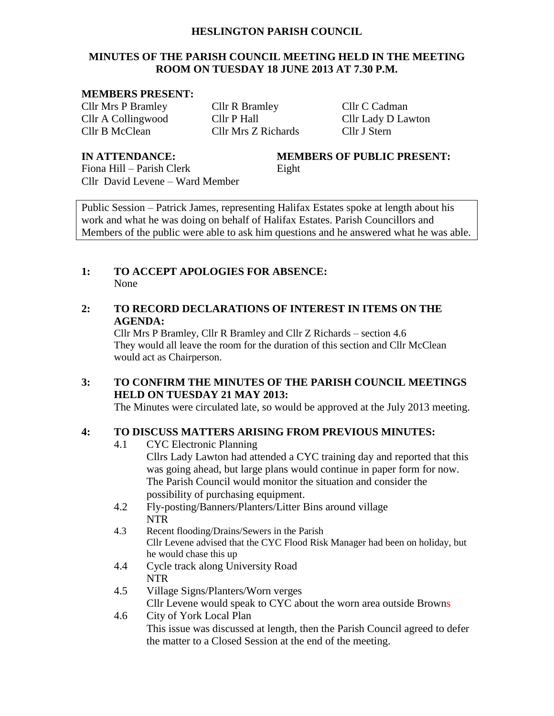#### **HESLINGTON PARISH COUNCIL**

#### **MINUTES OF THE PARISH COUNCIL MEETING HELD IN THE MEETING ROOM ON TUESDAY 18 JUNE 2013 AT 7.30 P.M.**

#### **MEMBERS PRESENT:**

Cllr Mrs P Bramley Cllr R Bramley Cllr C Cadman Cllr A Collingwood Cllr P Hall Cllr Lady D Lawton Cllr B McClean Cllr Mrs Z Richards Cllr J Stern

**IN ATTENDANCE: MEMBERS OF PUBLIC PRESENT:**

Fiona Hill – Parish Clerk Eight Cllr David Levene – Ward Member

Public Session – Patrick James, representing Halifax Estates spoke at length about his work and what he was doing on behalf of Halifax Estates. Parish Councillors and Members of the public were able to ask him questions and he answered what he was able.

#### **1: TO ACCEPT APOLOGIES FOR ABSENCE:** None

#### **2: TO RECORD DECLARATIONS OF INTEREST IN ITEMS ON THE AGENDA:**

Cllr Mrs P Bramley, Cllr R Bramley and Cllr Z Richards – section 4.6 They would all leave the room for the duration of this section and Cllr McClean would act as Chairperson.

### **3: TO CONFIRM THE MINUTES OF THE PARISH COUNCIL MEETINGS HELD ON TUESDAY 21 MAY 2013:**

The Minutes were circulated late, so would be approved at the July 2013 meeting.

### **4: TO DISCUSS MATTERS ARISING FROM PREVIOUS MINUTES:**

- 4.1 CYC Electronic Planning Cllrs Lady Lawton had attended a CYC training day and reported that this was going ahead, but large plans would continue in paper form for now. The Parish Council would monitor the situation and consider the possibility of purchasing equipment.
- 4.2 Fly-posting/Banners/Planters/Litter Bins around village NTR
- 4.3 Recent flooding/Drains/Sewers in the Parish Cllr Levene advised that the CYC Flood Risk Manager had been on holiday, but he would chase this up
- 4.4 Cycle track along University Road NTR
- 4.5 Village Signs/Planters/Worn verges Cllr Levene would speak to CYC about the worn area outside Browns 4.6 City of York Local Plan

This issue was discussed at length, then the Parish Council agreed to defer the matter to a Closed Session at the end of the meeting.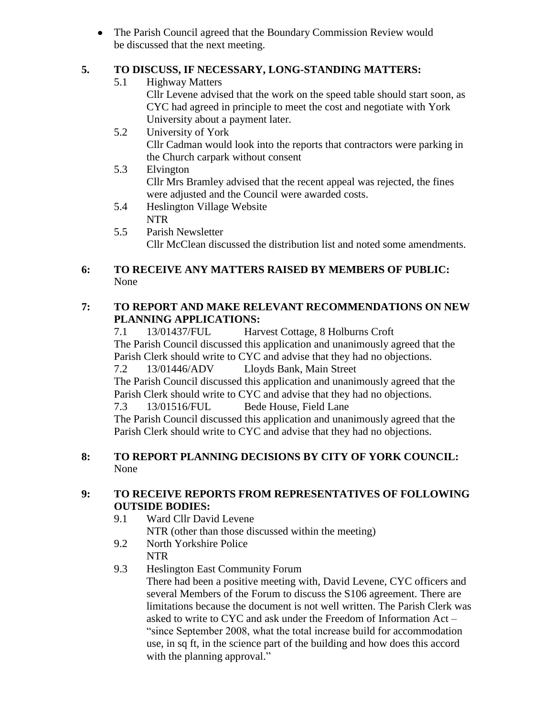• The Parish Council agreed that the Boundary Commission Review would be discussed that the next meeting.

# **5. TO DISCUSS, IF NECESSARY, LONG-STANDING MATTERS:**

- 5.1 Highway Matters Cllr Levene advised that the work on the speed table should start soon, as CYC had agreed in principle to meet the cost and negotiate with York University about a payment later. 5.2 University of York
	- Cllr Cadman would look into the reports that contractors were parking in the Church carpark without consent
- 5.3 Elvington Cllr Mrs Bramley advised that the recent appeal was rejected, the fines were adjusted and the Council were awarded costs.
- 5.4 Heslington Village Website NTR
- 5.5 Parish Newsletter Cllr McClean discussed the distribution list and noted some amendments.

# **6: TO RECEIVE ANY MATTERS RAISED BY MEMBERS OF PUBLIC:** None

# **7: TO REPORT AND MAKE RELEVANT RECOMMENDATIONS ON NEW PLANNING APPLICATIONS:**

7.1 13/01437/FUL Harvest Cottage, 8 Holburns Croft The Parish Council discussed this application and unanimously agreed that the Parish Clerk should write to CYC and advise that they had no objections. 7.2 13/01446/ADV Lloyds Bank, Main Street The Parish Council discussed this application and unanimously agreed that the Parish Clerk should write to CYC and advise that they had no objections. 7.3 13/01516/FUL Bede House, Field Lane

The Parish Council discussed this application and unanimously agreed that the Parish Clerk should write to CYC and advise that they had no objections.

# **8: TO REPORT PLANNING DECISIONS BY CITY OF YORK COUNCIL:** None

# **9: TO RECEIVE REPORTS FROM REPRESENTATIVES OF FOLLOWING OUTSIDE BODIES:**

- 9.1 Ward Cllr David Levene NTR (other than those discussed within the meeting)
- 9.2 North Yorkshire Police NTR
- 9.3 Heslington East Community Forum

There had been a positive meeting with, David Levene, CYC officers and several Members of the Forum to discuss the S106 agreement. There are limitations because the document is not well written. The Parish Clerk was asked to write to CYC and ask under the Freedom of Information Act – "since September 2008, what the total increase build for accommodation use, in sq ft, in the science part of the building and how does this accord with the planning approval."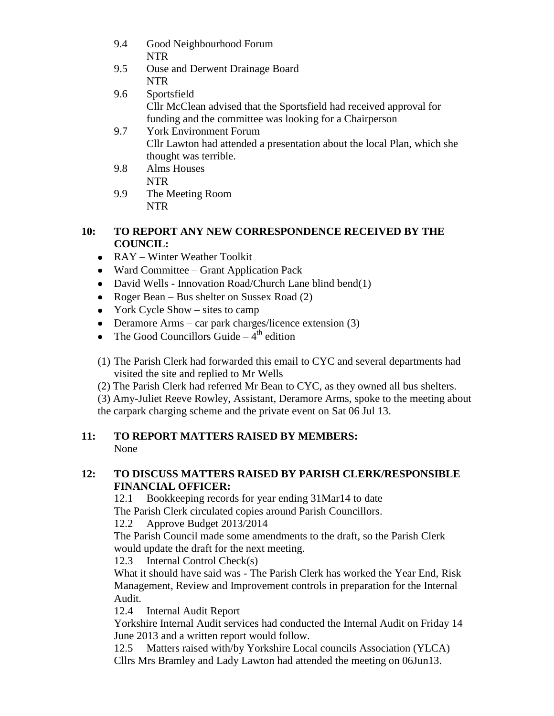- 9.4 Good Neighbourhood Forum NTR
- 9.5 Ouse and Derwent Drainage Board NTR
- 9.6 Sportsfield Cllr McClean advised that the Sportsfield had received approval for funding and the committee was looking for a Chairperson
- 9.7 York Environment Forum Cllr Lawton had attended a presentation about the local Plan, which she thought was terrible.
- 9.8 Alms Houses NTR
- 9.9 The Meeting Room NTR

# **10: TO REPORT ANY NEW CORRESPONDENCE RECEIVED BY THE COUNCIL:**

- RAY Winter Weather Toolkit
- Ward Committee Grant Application Pack
- David Wells Innovation Road/Church Lane blind bend(1)
- Roger Bean Bus shelter on Sussex Road (2)
- York Cycle Show sites to camp
- Deramore Arms car park charges/licence extension (3)
- The Good Councillors Guide  $-4<sup>th</sup>$  edition
- (1) The Parish Clerk had forwarded this email to CYC and several departments had visited the site and replied to Mr Wells

(2) The Parish Clerk had referred Mr Bean to CYC, as they owned all bus shelters.

(3) Amy-Juliet Reeve Rowley, Assistant, Deramore Arms, spoke to the meeting about the carpark charging scheme and the private event on Sat 06 Jul 13.

# **11: TO REPORT MATTERS RAISED BY MEMBERS:** None

# **12: TO DISCUSS MATTERS RAISED BY PARISH CLERK/RESPONSIBLE FINANCIAL OFFICER:**

12.1 Bookkeeping records for year ending 31Mar14 to date The Parish Clerk circulated copies around Parish Councillors.

12.2 Approve Budget 2013/2014

The Parish Council made some amendments to the draft, so the Parish Clerk would update the draft for the next meeting.

12.3 Internal Control Check(s)

What it should have said was - The Parish Clerk has worked the Year End, Risk Management, Review and Improvement controls in preparation for the Internal Audit.

12.4 Internal Audit Report

Yorkshire Internal Audit services had conducted the Internal Audit on Friday 14 June 2013 and a written report would follow.

12.5 Matters raised with/by Yorkshire Local councils Association (YLCA) Cllrs Mrs Bramley and Lady Lawton had attended the meeting on 06Jun13.